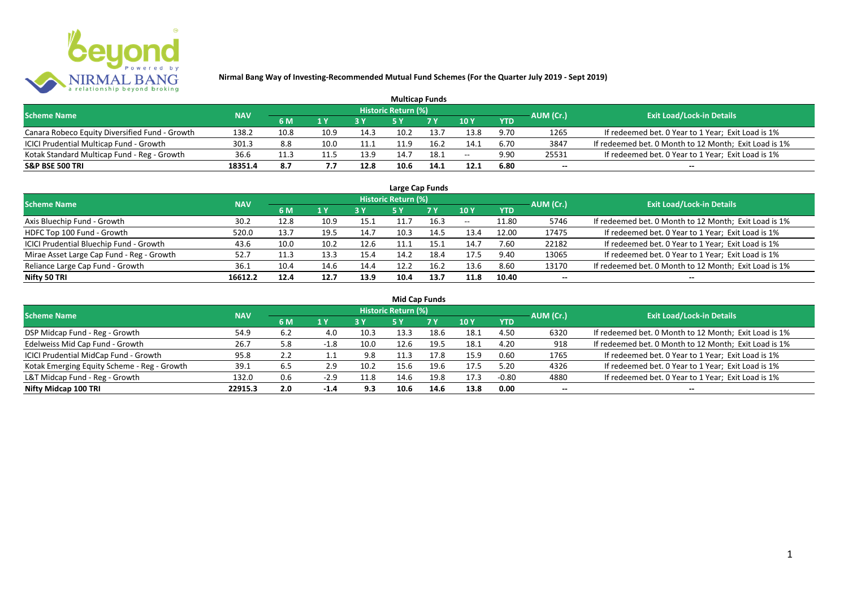

| <b>Multicap Funds</b>                          |            |      |      |      |                     |            |        |            |           |                                                       |  |  |  |
|------------------------------------------------|------------|------|------|------|---------------------|------------|--------|------------|-----------|-------------------------------------------------------|--|--|--|
| <b>Scheme Name</b>                             | <b>NAV</b> |      |      |      | Historic Return (%) |            |        |            | AUM (Cr.) | <b>Exit Load/Lock-in Details</b>                      |  |  |  |
|                                                |            | 6 M  | 1 Y  | 2V   |                     | <b>7 Y</b> | $-10Y$ | <b>YTD</b> |           |                                                       |  |  |  |
| Canara Robeco Equity Diversified Fund - Growth | 138.2      | 10.8 | 10.9 | 14.3 | 10.2                | 13.7       | 13.8   | 9.70       | 1265      | If redeemed bet. 0 Year to 1 Year; Exit Load is 1%    |  |  |  |
| ICICI Prudential Multicap Fund - Growth        | 301.3      | 8.8  | 10.0 | 11.1 |                     | 16.2       | 14.1   | 6.70       | 3847      | If redeemed bet. 0 Month to 12 Month; Exit Load is 1% |  |  |  |
| Kotak Standard Multicap Fund - Reg - Growth    | 36.6       |      | 11.5 | 13.9 | 14.7                | 18.1       | $- -$  | 9.90       | 25531     | If redeemed bet. 0 Year to 1 Year; Exit Load is 1%    |  |  |  |
| <b>S&amp;P BSE 500 TRI</b>                     | 18351.4    | 8.7  | 7.7  | 12.8 | 10.6                | 14.1       | 12.1   | 6.80       | $- -$     | $- -$                                                 |  |  |  |

| Large Cap Funds                           |            |      |      |      |                            |      |       |            |                          |                                                       |  |  |  |  |
|-------------------------------------------|------------|------|------|------|----------------------------|------|-------|------------|--------------------------|-------------------------------------------------------|--|--|--|--|
| <b>Scheme Name</b>                        | <b>NAV</b> |      |      |      | <b>Historic Return (%)</b> |      |       |            | AUM (Cr.)                | <b>Exit Load/Lock-in Details</b>                      |  |  |  |  |
|                                           |            | 6 M  | 1 Y  |      | <b>5Y</b>                  | 7 Y  | 10Y   | <b>YTD</b> |                          |                                                       |  |  |  |  |
| Axis Bluechip Fund - Growth               | 30.2       | 12.8 | 10.9 | 15.1 |                            | 16.3 | $- -$ | 11.80      | 5746                     | If redeemed bet. 0 Month to 12 Month; Exit Load is 1% |  |  |  |  |
| HDFC Top 100 Fund - Growth                | 520.0      | 13.7 | 19.5 | 14.7 | 10.3                       | 14.5 | 13.4  | 12.00      | 17475                    | If redeemed bet. 0 Year to 1 Year; Exit Load is 1%    |  |  |  |  |
| ICICI Prudential Bluechip Fund - Growth   | 43.6       | 10.0 | 10.2 | 12.6 | 11.1                       | 15.1 | 14.7  | 7.60       | 22182                    | If redeemed bet. 0 Year to 1 Year; Exit Load is 1%    |  |  |  |  |
| Mirae Asset Large Cap Fund - Reg - Growth | 52.7       | 11.3 | 13.3 | 15.4 | 14.2                       | 18.4 | 17.5  | 9.40       | 13065                    | If redeemed bet. 0 Year to 1 Year; Exit Load is 1%    |  |  |  |  |
| Reliance Large Cap Fund - Growth          | 36.1       | 10.4 | 14.6 | 14.4 | 12.2                       | 16.2 | 13.6  | 8.60       | 13170                    | If redeemed bet. 0 Month to 12 Month; Exit Load is 1% |  |  |  |  |
| Nifty 50 TRI                              | 16612.2    | 12.4 | 12.7 | 13.9 | 10.4                       | 13.7 | 11.8  | 10.40      | $\overline{\phantom{a}}$ | --                                                    |  |  |  |  |

| <b>Mid Cap Funds</b>                        |            |     |        |      |                            |      |      |            |                          |                                                       |  |  |  |  |
|---------------------------------------------|------------|-----|--------|------|----------------------------|------|------|------------|--------------------------|-------------------------------------------------------|--|--|--|--|
| <b>Scheme Name</b>                          | <b>NAV</b> |     |        |      | <b>Historic Return (%)</b> |      |      |            | AUM (Cr.)                | <b>Exit Load/Lock-in Details</b>                      |  |  |  |  |
|                                             |            | 6 M | 1 Y    |      | 5 Y                        | 7 Y  | 10Y  | <b>YTD</b> |                          |                                                       |  |  |  |  |
| DSP Midcap Fund - Reg - Growth              | 54.9       | 6.2 | 4.0    | 10.3 | 13.3                       | 18.6 | 18.1 | 4.50       | 6320                     | If redeemed bet. 0 Month to 12 Month; Exit Load is 1% |  |  |  |  |
| Edelweiss Mid Cap Fund - Growth             | 26.7       | 5.8 | -1.8   | 10.0 | 12.6                       | 19.5 | 18.1 | 4.20       | 918                      | If redeemed bet. 0 Month to 12 Month; Exit Load is 1% |  |  |  |  |
| ICICI Prudential MidCap Fund - Growth       | 95.8       |     |        | 9.8  | 11.3                       | 17.8 | 15.9 | 0.60       | 1765                     | If redeemed bet. 0 Year to 1 Year; Exit Load is 1%    |  |  |  |  |
| Kotak Emerging Equity Scheme - Reg - Growth | 39.1       | 6.5 | 2.9    | 10.2 | 15.6                       | 19.6 | 17.5 | 5.20       | 4326                     | If redeemed bet. 0 Year to 1 Year; Exit Load is 1%    |  |  |  |  |
| L&T Midcap Fund - Reg - Growth              | 132.0      | 0.6 | $-2.9$ | 11.8 | 14.6                       | 19.8 | 17.3 | $-0.80$    | 4880                     | If redeemed bet. 0 Year to 1 Year; Exit Load is 1%    |  |  |  |  |
| Nifty Midcap 100 TRI                        | 22915.3    | 2.0 | $-1.4$ | 9.3  | 10.6                       | 14.6 | 13.8 | 0.00       | $\overline{\phantom{a}}$ | $- -$                                                 |  |  |  |  |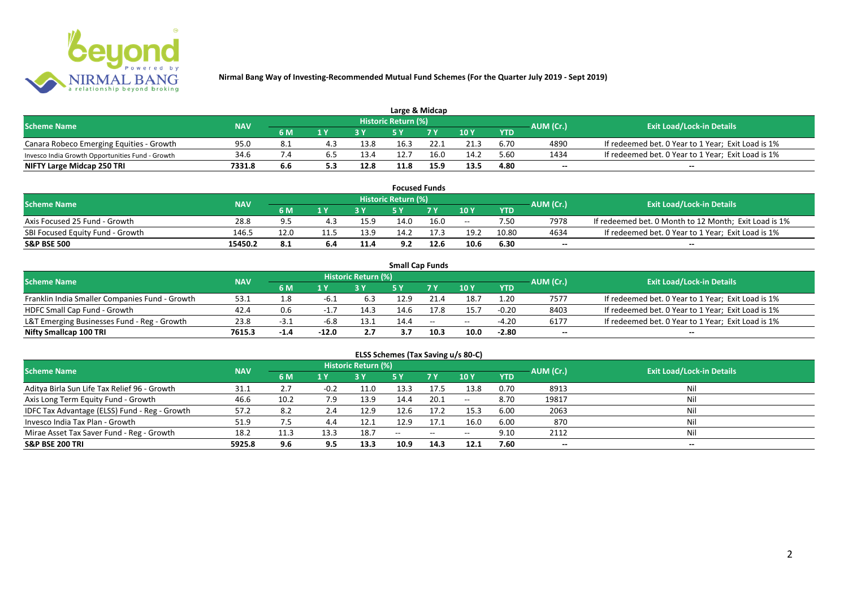

| Large & Midcap                                   |            |       |                         |      |                            |      |      |            |           |                                                    |  |  |  |
|--------------------------------------------------|------------|-------|-------------------------|------|----------------------------|------|------|------------|-----------|----------------------------------------------------|--|--|--|
| <b>Scheme Name</b>                               | <b>NAV</b> |       |                         |      | <b>Historic Return (%)</b> |      |      |            | AUM (Cr.) | <b>Exit Load/Lock-in Details</b>                   |  |  |  |
|                                                  |            | 6 M   | $\mathbf{A} \mathbf{V}$ |      |                            | 7 V  | 10Y  | <b>YTD</b> |           |                                                    |  |  |  |
| Canara Robeco Emerging Equities - Growth         | 95.0       | - 8.1 |                         | 13.8 | 16.3                       | 22.1 | 21.3 | 6.70       | 4890      | If redeemed bet. 0 Year to 1 Year; Exit Load is 1% |  |  |  |
| Invesco India Growth Opportunities Fund - Growth | 34.6       |       |                         | 13.4 | 12.7                       | 16.0 | 14.2 | 5.60       | 1434      | If redeemed bet. 0 Year to 1 Year; Exit Load is 1% |  |  |  |
| NIFTY Large Midcap 250 TRI                       | 7331.8     | 6.6   |                         | 12.8 | 11.8                       | 15.9 | 13.5 | 4.80       | $- -$     | $- -$                                              |  |  |  |

| <b>Focused Funds</b>             |            |       |      |      |                     |      |       |            |           |                                                       |  |  |  |
|----------------------------------|------------|-------|------|------|---------------------|------|-------|------------|-----------|-------------------------------------------------------|--|--|--|
| <b>Scheme Name</b>               | <b>NAV</b> |       |      |      | Historic Return (%) |      |       |            | AUM (Cr.) | <b>Exit Load/Lock-in Details</b>                      |  |  |  |
|                                  |            | 6 M   | 1 V  |      | cν                  | 7 V  | 10 Y  | <b>YTD</b> |           |                                                       |  |  |  |
| Axis Focused 25 Fund - Growth    | 28.8       | $Q$ 5 | 4.3  | 15.9 | 14.0                | 16.0 | $- -$ | 7.50       | 7978      | If redeemed bet. 0 Month to 12 Month; Exit Load is 1% |  |  |  |
| SBI Focused Equity Fund - Growth | 146.5      | 12.0  | 11.5 | 13.9 | 14.2                |      | 19.2  | 10.80      | 4634      | If redeemed bet. 0 Year to 1 Year; Exit Load is 1%    |  |  |  |
| <b>S&amp;P BSE 500</b>           | 15450.2    | 8.1   | 6.4  | 11.4 | 9.2                 | 12.6 | 10.6  | 6.30       | $- -$     | $- -$                                                 |  |  |  |

|                                                |            |        |         |                     |      | <b>Small Cap Funds</b>                         |       |            |           |                                                    |
|------------------------------------------------|------------|--------|---------|---------------------|------|------------------------------------------------|-------|------------|-----------|----------------------------------------------------|
| <b>Scheme Name</b>                             | <b>NAV</b> |        |         | Historic Return (%) |      |                                                |       |            | AUM (Cr.) | <b>Exit Load/Lock-in Details</b>                   |
|                                                |            | 6 M    |         |                     |      |                                                | 10Y   | <b>YTD</b> |           |                                                    |
| Franklin India Smaller Companies Fund - Growth | 53.1       | 1.8    | -6.1    | 6.3                 | 12.9 | 21.4                                           | 18.7  | 1.20       | 7577      | If redeemed bet. 0 Year to 1 Year; Exit Load is 1% |
| HDFC Small Cap Fund - Growth                   | 42.4       | 0.6    |         | 14.3                | 14.6 | 17.8                                           | 15.7  | $-0.20$    | 8403      | If redeemed bet. 0 Year to 1 Year; Exit Load is 1% |
| L&T Emerging Businesses Fund - Reg - Growth    | 23.8       | ⊥.5-   | -6.8    | 13.1                | 14.4 | $\hspace{0.1mm}-\hspace{0.1mm}-\hspace{0.1mm}$ | $- -$ | $-4.20$    | 6177      | If redeemed bet. 0 Year to 1 Year; Exit Load is 1% |
| Nifty Smallcap 100 TRI                         | 7615.3     | $-1.4$ | $-12.0$ | 2.7                 | 3.7  | 10.3                                           | 10.0  | $-2.80$    | $- -$     | --                                                 |

# **ELSS Schemes (Tax Saving u/s 80-C)**

| <b>Scheme Name</b>                            | <b>NAV</b> |              |                | <b>Historic Return (%)</b> |       |      |         | AUM (Cr.)  | <b>Exit Load/Lock-in Details</b> |                          |
|-----------------------------------------------|------------|--------------|----------------|----------------------------|-------|------|---------|------------|----------------------------------|--------------------------|
|                                               |            | 6 M          | 1 <sub>Y</sub> |                            | 5 Y   | 7Y   | 10Y     | <b>YTD</b> |                                  |                          |
| Aditya Birla Sun Life Tax Relief 96 - Growth  | 31.1       | $\mathbf{z}$ | $-0.2$         | 11.0                       | 13.3  | 17.5 | 13.8    | 0.70       | 8913                             | Nil                      |
| Axis Long Term Equity Fund - Growth           | 46.6       | 10.2         | 7.9            | 13.9                       | 14.4  | 20.1 | $-  \,$ | 8.70       | 19817                            |                          |
| IDFC Tax Advantage (ELSS) Fund - Reg - Growth | 57.2       | 8.2          | 2.4            | 12.9                       | 12.6  | 17.2 | 15.3    | 6.00       | 2063                             |                          |
| Invesco India Tax Plan - Growth               | 51.9       | 7.5          | 4.4            | 12.1                       | 12.9  | 17.1 | 16.0    | 6.00       | 870                              |                          |
| Mirae Asset Tax Saver Fund - Reg - Growth     | 18.2       | 11.3         | 13.3           | 18.7                       | $- -$ | --   | $- -$   | 9.10       | 2112                             |                          |
| <b>S&amp;P BSE 200 TRI</b>                    | 5925.8     | 9.6          | 9.5            | 13.3                       | 10.9  | 14.3 | 12.1    | 7.60       | $\overline{\phantom{a}}$         | $\overline{\phantom{a}}$ |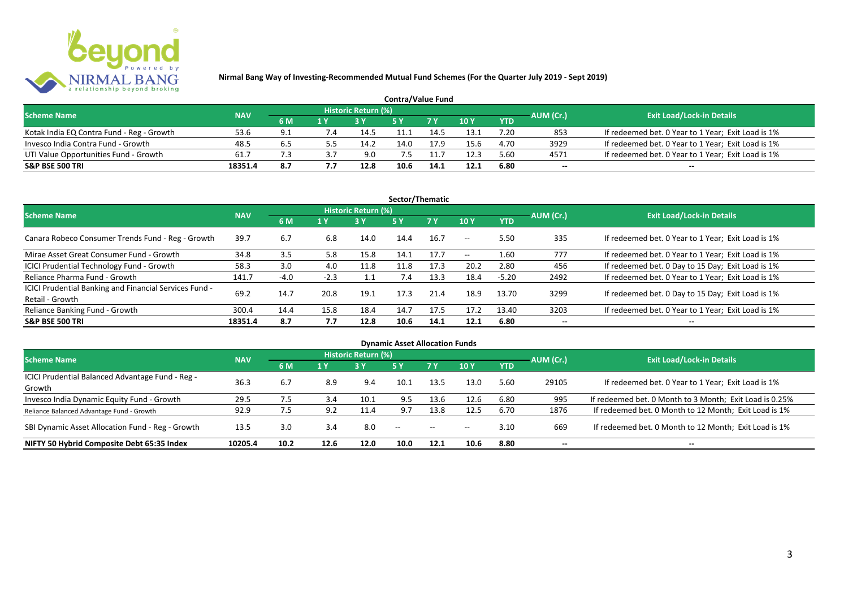

| <b>Contra/Value Fund</b>                  |            |     |  |                     |      |                |        |            |           |                                                    |  |  |  |
|-------------------------------------------|------------|-----|--|---------------------|------|----------------|--------|------------|-----------|----------------------------------------------------|--|--|--|
| <b>Scheme Name</b>                        | <b>NAV</b> |     |  | Historic Return (%) |      |                |        |            | AUM (Cr.) | <b>Exit Load/Lock-in Details</b>                   |  |  |  |
|                                           |            | 6 M |  |                     |      | 7 <sub>Y</sub> | $-10Y$ | <b>YTD</b> |           |                                                    |  |  |  |
| Kotak India EQ Contra Fund - Reg - Growth | 53.6       | 9.1 |  | 14.5                |      | 14.            | 13.1   | 7.20       | 853       | If redeemed bet. 0 Year to 1 Year; Exit Load is 1% |  |  |  |
| Invesco India Contra Fund - Growth        | 48.5       | 6.5 |  | 14.2                | 14.0 | 17.9           | 15.6   | 4.70       | 3929      | If redeemed bet. 0 Year to 1 Year; Exit Load is 1% |  |  |  |
| UTI Value Opportunities Fund - Growth     | 61.7       |     |  | 9.0                 |      |                | 12.3   | 5.60       | 4571      | If redeemed bet. 0 Year to 1 Year; Exit Load is 1% |  |  |  |
| <b>S&amp;P BSE 500 TRI</b>                | 18351.4    | 8.7 |  | 12.8                | 10.6 | 14.1           | 12.1   | 6.80       | $-$       | $- -$                                              |  |  |  |

| Sector/Thematic                                                           |            |        |        |                            |      |           |         |            |           |                                                    |  |  |  |
|---------------------------------------------------------------------------|------------|--------|--------|----------------------------|------|-----------|---------|------------|-----------|----------------------------------------------------|--|--|--|
| <b>Scheme Name</b>                                                        | <b>NAV</b> |        |        | <b>Historic Return (%)</b> |      |           |         |            | AUM (Cr.) | <b>Exit Load/Lock-in Details</b>                   |  |  |  |
|                                                                           |            | 6 M    | 1 Y    | <b>3 Y</b>                 | 5Y   | <b>7Y</b> | 10Y     | <b>YTD</b> |           |                                                    |  |  |  |
| Canara Robeco Consumer Trends Fund - Reg - Growth                         | 39.7       | 6.7    | 6.8    | 14.0                       | 14.4 | 16.7      | $-  \,$ | 5.50       | 335       | If redeemed bet. 0 Year to 1 Year; Exit Load is 1% |  |  |  |
| Mirae Asset Great Consumer Fund - Growth                                  | 34.8       | 3.5    | 5.8    | 15.8                       | 14.1 | 17.7      | $- -$   | 1.60       | 777       | If redeemed bet. 0 Year to 1 Year; Exit Load is 1% |  |  |  |
| ICICI Prudential Technology Fund - Growth                                 | 58.3       | 3.0    | 4.0    | 11.8                       | 11.8 | 17.3      | 20.2    | 2.80       | 456       | If redeemed bet. 0 Day to 15 Day; Exit Load is 1%  |  |  |  |
| Reliance Pharma Fund - Growth                                             | 141.7      | $-4.0$ | $-2.3$ |                            | 7.4  | 13.3      | 18.4    | $-5.20$    | 2492      | If redeemed bet. 0 Year to 1 Year; Exit Load is 1% |  |  |  |
| ICICI Prudential Banking and Financial Services Fund -<br>Retail - Growth | 69.2       | 14.7   | 20.8   | 19.1                       | 17.3 | 21.4      | 18.9    | 13.70      | 3299      | If redeemed bet. 0 Day to 15 Day; Exit Load is 1%  |  |  |  |
| Reliance Banking Fund - Growth                                            | 300.4      | 14.4   | 15.8   | 18.4                       | 14.7 | 17.5      | 17.2    | 13.40      | 3203      | If redeemed bet. 0 Year to 1 Year; Exit Load is 1% |  |  |  |
| <b>S&amp;P BSE 500 TRI</b>                                                | 18351.4    | 8.7    | 7.7    | 12.8                       | 10.6 | 14.1      | 12.1    | 6.80       | --        | $- -$                                              |  |  |  |

| <b>Dynamic Asset Allocation Funds</b>            |            |      |      |                            |      |               |       |            |                          |                                                         |  |  |  |
|--------------------------------------------------|------------|------|------|----------------------------|------|---------------|-------|------------|--------------------------|---------------------------------------------------------|--|--|--|
| <b>Scheme Name</b>                               | <b>NAV</b> |      |      | <b>Historic Return (%)</b> |      |               |       |            | AUM (Cr.)                | <b>Exit Load/Lock-in Details</b>                        |  |  |  |
|                                                  |            | 6 M  | 1 Y  | 3Y                         | 5 Y  | .7 Y          | 10Y   | <b>YTD</b> |                          |                                                         |  |  |  |
| ICICI Prudential Balanced Advantage Fund - Reg - | 36.3       |      |      |                            | 10.1 |               |       | 5.60       |                          |                                                         |  |  |  |
| Growth                                           |            | 6.7  | 8.9  | 9.4                        |      | 13.5          | 13.0  |            | 29105                    | If redeemed bet. 0 Year to 1 Year; Exit Load is 1%      |  |  |  |
| Invesco India Dynamic Equity Fund - Growth       | 29.5       | 7.5  | 3.4  | 10.1                       | 9.5  | 13.6          | 12.6  | 6.80       | 995                      | If redeemed bet. 0 Month to 3 Month; Exit Load is 0.25% |  |  |  |
| Reliance Balanced Advantage Fund - Growth        | 92.9       | 7.5  | 9.2  | 11.4                       | 9.7  | 13.8          | 12.5  | 6.70       | 1876                     | If redeemed bet. 0 Month to 12 Month; Exit Load is 1%   |  |  |  |
| SBI Dynamic Asset Allocation Fund - Reg - Growth | 13.5       | 3.0  | 3.4  | 8.0                        | $ -$ | $\sim$ $\sim$ | $- -$ | 3.10       | 669                      | If redeemed bet. 0 Month to 12 Month; Exit Load is 1%   |  |  |  |
| NIFTY 50 Hybrid Composite Debt 65:35 Index       | 10205.4    | 10.2 | 12.6 | 12.0                       | 10.0 | 12.1          | 10.6  | 8.80       | $\overline{\phantom{a}}$ | $- -$                                                   |  |  |  |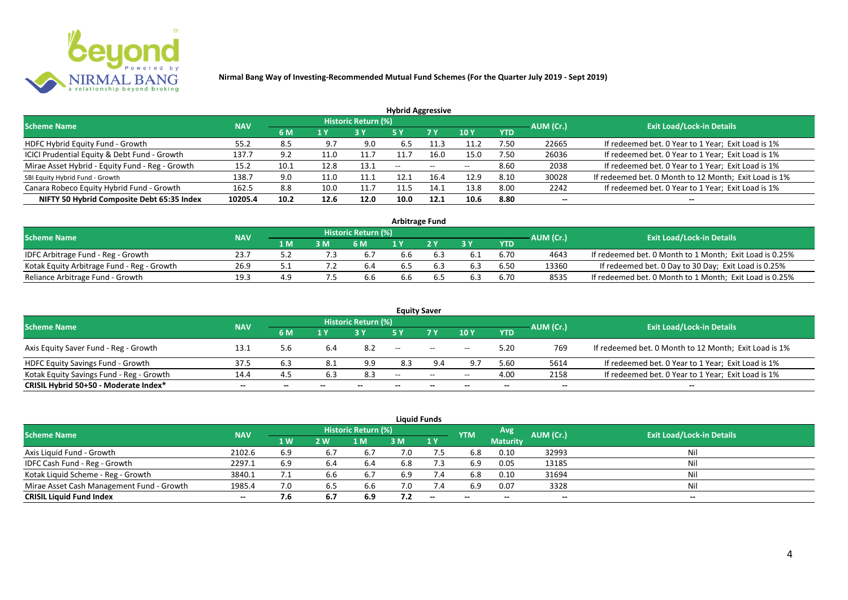

| <b>Hybrid Aggressive</b>                        |            |      |                         |                            |               |                          |       |            |           |                                                       |  |  |  |
|-------------------------------------------------|------------|------|-------------------------|----------------------------|---------------|--------------------------|-------|------------|-----------|-------------------------------------------------------|--|--|--|
| <b>Scheme Name</b>                              | <b>NAV</b> |      |                         | <b>Historic Return (%)</b> |               |                          |       |            | AUM (Cr.) | <b>Exit Load/Lock-in Details</b>                      |  |  |  |
|                                                 |            | 6 M  | $\mathbf{1} \mathbf{V}$ |                            | <b>5 Y</b>    | 7 Y                      | 10Y   | <b>YTD</b> |           |                                                       |  |  |  |
| HDFC Hybrid Equity Fund - Growth                | 55.2       | 8.5  | 9.7                     | 9.0                        | 6.5           |                          | 11.2  | 7.50       | 22665     | If redeemed bet. 0 Year to 1 Year; Exit Load is 1%    |  |  |  |
| ICICI Prudential Equity & Debt Fund - Growth    | 137.7      | 9.2  | 11.0                    | 11.7                       | 11.7          | 16.0                     | 15.0  | 7.50       | 26036     | If redeemed bet. 0 Year to 1 Year; Exit Load is 1%    |  |  |  |
| Mirae Asset Hybrid - Equity Fund - Reg - Growth | 15.2       | 10.1 | 12.8                    | 13.1                       | $\sim$ $\sim$ | $\overline{\phantom{a}}$ | $- -$ | 8.60       | 2038      | If redeemed bet. 0 Year to 1 Year; Exit Load is 1%    |  |  |  |
| SBI Equity Hybrid Fund - Growth                 | 138.7      | 9.0  | 11.0                    | 11.1                       | 12.1          | 16.4                     | 12.9  | 8.10       | 30028     | If redeemed bet. 0 Month to 12 Month; Exit Load is 1% |  |  |  |
| Canara Robeco Equity Hybrid Fund - Growth       | 162.5      | 8.8  | 10.0                    | 11.7                       | 11.5          | 14.1                     | 13.8  | 8.00       | 2242      | If redeemed bet. 0 Year to 1 Year; Exit Load is 1%    |  |  |  |
| NIFTY 50 Hybrid Composite Debt 65:35 Index      | 10205.4    | 10.2 | 12.6                    | 12.0                       | 10.0          | 12.1                     | 10.6  | 8.80       | $- -$     | $- -$                                                 |  |  |  |

| <b>Arbitrage Fund</b>                      |            |     |     |                            |     |  |     |      |           |                                                         |  |  |  |
|--------------------------------------------|------------|-----|-----|----------------------------|-----|--|-----|------|-----------|---------------------------------------------------------|--|--|--|
| <b>Scheme Name</b>                         | <b>NAV</b> |     |     | <b>Historic Return (%)</b> |     |  |     |      | AUM (Cr.) | <b>Exit Load/Lock-in Details</b>                        |  |  |  |
|                                            |            | 1 M | 3 M | 6 M                        |     |  | 2 V | YTD  |           |                                                         |  |  |  |
| IDFC Arbitrage Fund - Reg - Growth         | 23.7       |     |     | $b_{1}$                    | 6.6 |  |     | 6.70 | 4643      | If redeemed bet. 0 Month to 1 Month; Exit Load is 0.25% |  |  |  |
| Kotak Equity Arbitrage Fund - Reg - Growth | 26.9       |     |     | b.4                        | 6.5 |  |     | 6.50 | 13360     | If redeemed bet. 0 Day to 30 Day; Exit Load is 0.25%    |  |  |  |
| Reliance Arbitrage Fund - Growth           | 19.3       | 4.9 |     | b.b                        | 6.6 |  |     | 6.70 | 8535      | If redeemed bet. 0 Month to 1 Month; Exit Load is 0.25% |  |  |  |

|                                          |            |       |     |                     | <b>Equity Saver</b> |                                                     |       |            |           |                                                       |
|------------------------------------------|------------|-------|-----|---------------------|---------------------|-----------------------------------------------------|-------|------------|-----------|-------------------------------------------------------|
| <b>Scheme Name</b>                       | <b>NAV</b> |       |     | Historic Return (%) |                     |                                                     |       |            |           | <b>Exit Load/Lock-in Details</b>                      |
|                                          |            | 6 M   | 1 Y |                     |                     | 7 <sub>V</sub>                                      | 10Y   | <b>YTD</b> | AUM (Cr.) |                                                       |
| Axis Equity Saver Fund - Reg - Growth    | 13.1       | 5.6   | 6.4 | 8.2                 | $- -$               | $\hspace{0.1mm}-\hspace{0.1mm}-\hspace{0.1mm}$      | $- -$ | 5.20       | 769       | If redeemed bet. 0 Month to 12 Month; Exit Load is 1% |
| HDFC Equity Savings Fund - Growth        | 37.5       | 6.3   |     | 9.9                 | 8.3                 | 9.4                                                 | $Q -$ | 5.60       | 5614      | If redeemed bet. 0 Year to 1 Year; Exit Load is 1%    |
| Kotak Equity Savings Fund - Reg - Growth | 14.4       | -4.5  |     | 8.3                 | $\sim$ $\sim$       | $\hspace{0.05cm} -\hspace{0.05cm} -\hspace{0.05cm}$ | $- -$ | 4.00       | 2158      | If redeemed bet. 0 Year to 1 Year; Exit Load is 1%    |
| CRISIL Hybrid 50+50 - Moderate Index*    | $- -$      | $- -$ |     | --                  | --                  | $- -$                                               |       | --         | --        | $- -$                                                 |

|                                           |            |     |     |                            |     | <b>Liquid Funds</b> |            |                 |           |                           |
|-------------------------------------------|------------|-----|-----|----------------------------|-----|---------------------|------------|-----------------|-----------|---------------------------|
| <b>Scheme Name</b>                        | <b>NAV</b> |     |     | <b>Historic Return (%)</b> |     |                     | <b>YTM</b> | Avg             | AUM (Cr.) | Exit Load/Lock-in Details |
|                                           |            | 1W  | 2 W | 1 M                        | 3 M | 1Y                  |            | <b>Maturity</b> |           |                           |
| Axis Liquid Fund - Growth                 | 2102.6     | 6.9 | 6.7 | 6.7                        | 7.0 |                     | 6.8        | 0.10            | 32993     | Nil                       |
| IDFC Cash Fund - Reg - Growth             | 2297.1     | 6.9 | 6.4 | 6.4                        | 6.8 | 7.3                 | 6.9        | 0.05            | 13185     | Nil                       |
| Kotak Liquid Scheme - Reg - Growth        | 3840.1     |     | 6.6 | 6.7                        | 6.9 | 7.4                 | 6.8        | 0.10            | 31694     | Nil                       |
| Mirae Asset Cash Management Fund - Growth | 1985.4     | 7.0 | 6.5 | 6.6                        | 7.0 | 7.4                 | 6.9        | 0.07            | 3328      | Nil                       |
| <b>CRISIL Liquid Fund Index</b>           | $- -$      | 7.6 | 6.7 | 6.9                        | 7.2 | $-$                 | $- -$      |                 | $- -$     | $- -$                     |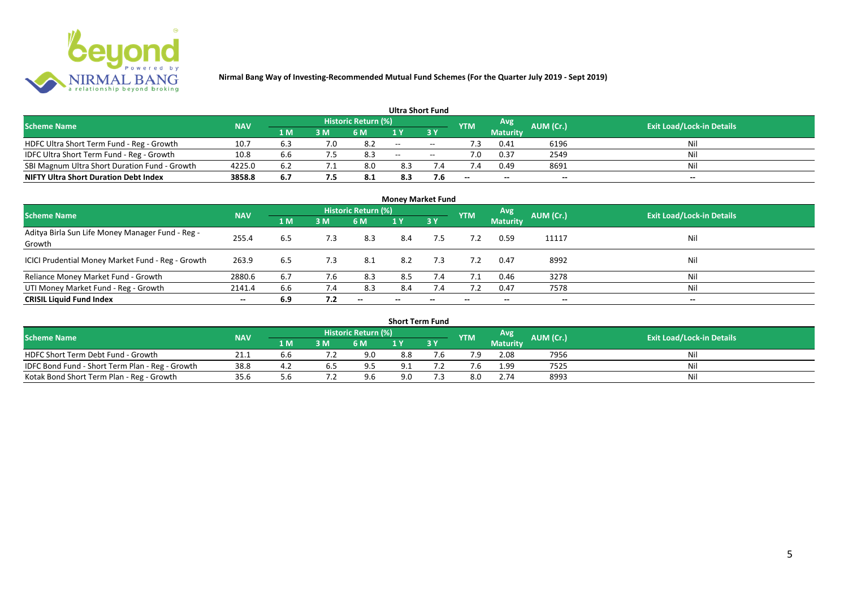

|                                               |            |     |     |                            | <b>Ultra Short Fund</b> |                          |            |                 |           |                                  |
|-----------------------------------------------|------------|-----|-----|----------------------------|-------------------------|--------------------------|------------|-----------------|-----------|----------------------------------|
| <b>Scheme Name</b>                            | <b>NAV</b> |     |     | <b>Historic Return (%)</b> |                         |                          | <b>YTM</b> | Avg             | AUM (Cr.) | <b>Exit Load/Lock-in Details</b> |
|                                               |            | 1 M | 3 M | 6 M                        | 1 V                     |                          |            | <b>Maturity</b> |           |                                  |
| HDFC Ultra Short Term Fund - Reg - Growth     | 10.7       | 6.3 | 7.0 |                            | $\sim$ $\sim$           | $\sim$                   | .3         | 0.41            | 6196      | Nil                              |
| IDFC Ultra Short Term Fund - Reg - Growth     | 10.8       | 6.6 |     | 8.3                        | $\sim$                  | $\overline{\phantom{a}}$ |            | 0.37            | 2549      | Nil                              |
| SBI Magnum Ultra Short Duration Fund - Growth | 4225.0     | 6.2 |     | 8.0                        | 8.3                     |                          |            | 0.49            | 8691      | Nil                              |
| <b>NIFTY Ultra Short Duration Debt Index</b>  | 3858.8     | 6.7 |     | -8.1                       | 8.3                     | 7.6                      | --         | $- -$           | $- -$     | $\overline{\phantom{a}}$         |

| <b>Money Market Fund</b>                                   |            |     |     |                     |                          |     |            |                 |           |                                  |  |  |  |  |
|------------------------------------------------------------|------------|-----|-----|---------------------|--------------------------|-----|------------|-----------------|-----------|----------------------------------|--|--|--|--|
| <b>Scheme Name</b>                                         | <b>NAV</b> |     |     | Historic Return (%) |                          |     | <b>YTM</b> | Avg             | AUM (Cr.) | <b>Exit Load/Lock-in Details</b> |  |  |  |  |
|                                                            |            | 1 M | 3M  | 6 M                 | 1Y                       | 3 Y |            | <b>Maturity</b> |           |                                  |  |  |  |  |
| Aditya Birla Sun Life Money Manager Fund - Reg -<br>Growth | 255.4      | 6.5 | 7.3 | 8.3                 | 8.4                      | 7.5 |            | 0.59            | 11117     | Nil                              |  |  |  |  |
| ICICI Prudential Money Market Fund - Reg - Growth          | 263.9      | 6.5 | 7.3 | -8.1                | 8.2                      | 7.3 | 7.2        | 0.47            | 8992      | Nil                              |  |  |  |  |
| Reliance Money Market Fund - Growth                        | 2880.6     | 6.7 | 7.6 | 8.3                 | 8.5                      | 7.4 | 7.1        | 0.46            | 3278      | Nil                              |  |  |  |  |
| UTI Money Market Fund - Reg - Growth                       | 2141.4     | 6.6 | 7.4 | 8.3                 | 8.4                      | 7.4 | 7.2        | 0.47            | 7578      | Nil                              |  |  |  |  |
| <b>CRISIL Liquid Fund Index</b>                            | $- -$      | 6.9 | 7.2 | $- -$               | $\overline{\phantom{a}}$ | --  | $- -$      | $- -$           | $- -$     | $\overline{\phantom{a}}$         |  |  |  |  |

| <b>Short Term Fund</b>                          |            |     |    |                            |     |      |            |                 |           |                                  |  |  |  |  |
|-------------------------------------------------|------------|-----|----|----------------------------|-----|------|------------|-----------------|-----------|----------------------------------|--|--|--|--|
| <b>Scheme Name</b>                              | <b>NAV</b> |     |    | <b>Historic Return (%)</b> |     |      | <b>YTM</b> | Avg             | AUM (Cr.) | <b>Exit Load/Lock-in Details</b> |  |  |  |  |
|                                                 |            | 1 M | 3M | 6 M                        |     | 13 Y |            | <b>Maturity</b> |           |                                  |  |  |  |  |
| HDFC Short Term Debt Fund - Growth              | 21.1       | b.b |    | 9.0                        | 8.8 |      | 7.9        | 2.08            | 7956      | Nil                              |  |  |  |  |
| IDFC Bond Fund - Short Term Plan - Reg - Growth | 38.8       | 4.2 |    | q ⊏                        | 9.1 |      |            | 1.99            | 7525      | Nil                              |  |  |  |  |
| Kotak Bond Short Term Plan - Reg - Growth       | 35.6       |     |    | 9.6                        | 9.0 |      | 8.0        | 2.74            | 8993      | Nil                              |  |  |  |  |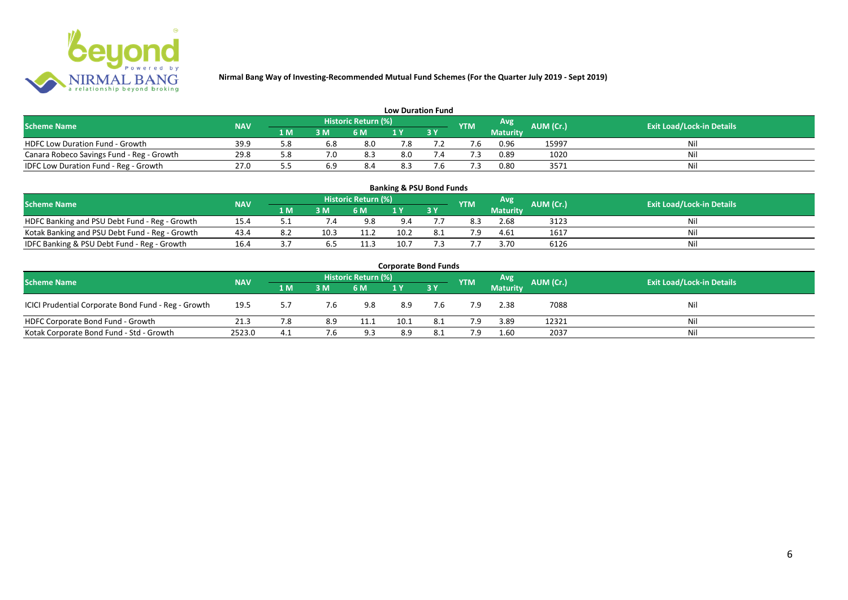

| <b>Low Duration Fund</b>                  |            |     |     |                            |     |  |            |                 |                  |                                  |  |  |  |  |
|-------------------------------------------|------------|-----|-----|----------------------------|-----|--|------------|-----------------|------------------|----------------------------------|--|--|--|--|
| <b>Scheme Name</b>                        | <b>NAV</b> |     |     | <b>Historic Return (%)</b> |     |  | <b>YTM</b> | Avg             | <b>AUM (Cr.)</b> | <b>Exit Load/Lock-in Details</b> |  |  |  |  |
|                                           |            | 1 M | 3M  | 6 M                        | 1 Y |  |            | <b>Maturity</b> |                  |                                  |  |  |  |  |
| <b>HDFC Low Duration Fund - Growth</b>    | 39.9       |     | 6.8 | 8.0                        | 7.8 |  |            | 0.96            | 15997            | Nil                              |  |  |  |  |
| Canara Robeco Savings Fund - Reg - Growth | 29.8       |     | 7.0 | 8.3                        | 8.0 |  |            | 0.89            | 1020             | Nil                              |  |  |  |  |
| IDFC Low Duration Fund - Reg - Growth     | 27.0       |     |     | 8.4                        | 8.3 |  |            | 0.80            | 3571             | Nil                              |  |  |  |  |

| <b>Banking &amp; PSU Bond Funds</b>            |            |     |      |                            |      |      |            |                 |           |                                  |  |  |  |  |
|------------------------------------------------|------------|-----|------|----------------------------|------|------|------------|-----------------|-----------|----------------------------------|--|--|--|--|
| <b>Scheme Name</b>                             | <b>NAV</b> |     |      | <b>Historic Return (%)</b> |      |      | <b>YTM</b> | Avg             | AUM (Cr.) | <b>Exit Load/Lock-in Details</b> |  |  |  |  |
|                                                |            | 1 M | 3 M  | 6 M                        |      | 73 Y |            | <b>Maturity</b> |           |                                  |  |  |  |  |
| HDFC Banking and PSU Debt Fund - Reg - Growth  | 15.4       |     |      | 9.8                        | 9.4  |      | 8.3        | 2.68            | 3123      | Ni                               |  |  |  |  |
| Kotak Banking and PSU Debt Fund - Reg - Growth | 43.4       | 8.2 | 10.3 | 11.2                       | 10.2 | 8.1  | 7.9        | 4.61            | 1617      | Ni                               |  |  |  |  |
| IDFC Banking & PSU Debt Fund - Reg - Growth    | 16.4       |     | 0. J | 11.3                       | 10.7 |      |            | 3.70            | 6126      | Ni                               |  |  |  |  |

| <b>Corporate Bond Funds</b>                                                                                                   |        |     |     |      |      |             |     |                 |       |     |  |  |  |  |
|-------------------------------------------------------------------------------------------------------------------------------|--------|-----|-----|------|------|-------------|-----|-----------------|-------|-----|--|--|--|--|
| Historic Return (%)<br>Avg<br>AUM (Cr.)<br><b>Exit Load/Lock-in Details</b><br><b>Scheme Name</b><br><b>NAV</b><br><b>YTM</b> |        |     |     |      |      |             |     |                 |       |     |  |  |  |  |
|                                                                                                                               |        | 1 M | 3 M | 6 M  |      | <b>73 Y</b> |     | <b>Maturity</b> |       |     |  |  |  |  |
| ICICI Prudential Corporate Bond Fund - Reg - Growth                                                                           | 19.5   | 57  | 7.b | 9.8  | 8.9  | 7.6         | 7.9 | 2.38            | 7088  | Nil |  |  |  |  |
| HDFC Corporate Bond Fund - Growth                                                                                             | 21.3   | 7.8 | 8.9 | 11.1 | 10.1 | 8.1         | 7.9 | 3.89            | 12321 | Nil |  |  |  |  |
| Kotak Corporate Bond Fund - Std - Growth                                                                                      | 2523.0 | 4.1 |     | 9.3  | 8.9  | 8.1         | 7.9 | 1.60            | 2037  | Nil |  |  |  |  |